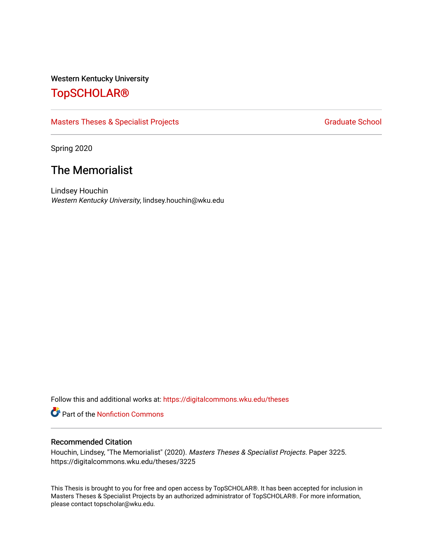### Western Kentucky University

# [TopSCHOLAR®](https://digitalcommons.wku.edu/)

### [Masters Theses & Specialist Projects](https://digitalcommons.wku.edu/theses) [Graduate School](https://digitalcommons.wku.edu/Graduate) Graduate School

Spring 2020

# The Memorialist

Lindsey Houchin Western Kentucky University, lindsey.houchin@wku.edu

Follow this and additional works at: [https://digitalcommons.wku.edu/theses](https://digitalcommons.wku.edu/theses?utm_source=digitalcommons.wku.edu%2Ftheses%2F3225&utm_medium=PDF&utm_campaign=PDFCoverPages) 

Part of the [Nonfiction Commons](http://network.bepress.com/hgg/discipline/1152?utm_source=digitalcommons.wku.edu%2Ftheses%2F3225&utm_medium=PDF&utm_campaign=PDFCoverPages) 

#### Recommended Citation

Houchin, Lindsey, "The Memorialist" (2020). Masters Theses & Specialist Projects. Paper 3225. https://digitalcommons.wku.edu/theses/3225

This Thesis is brought to you for free and open access by TopSCHOLAR®. It has been accepted for inclusion in Masters Theses & Specialist Projects by an authorized administrator of TopSCHOLAR®. For more information, please contact topscholar@wku.edu.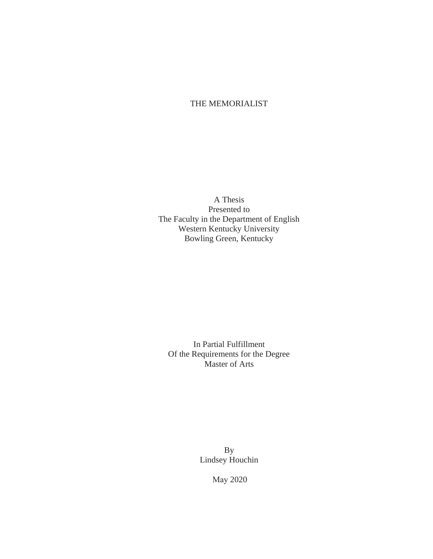### THE MEMORIALIST

A Thesis Presented to The Faculty in the Department of English Western Kentucky University Bowling Green, Kentucky

In Partial Fulfillment Of the Requirements for the Degree Master of Arts

> By Lindsey Houchin

> > May 2020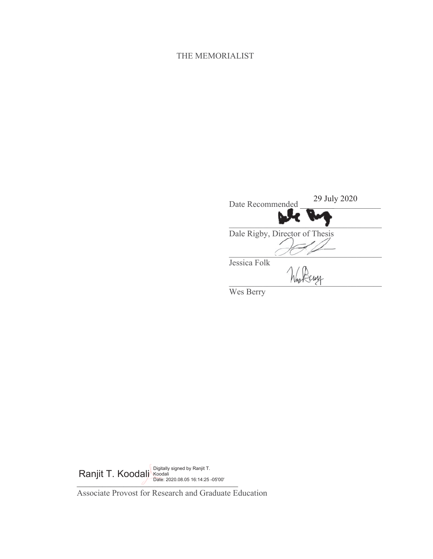## THE MEMORIALIST

| Date Recommended               | 29 July 2020 |
|--------------------------------|--------------|
|                                |              |
| Dale Rigby, Director of Thesis |              |
| Jessica Folk                   |              |

Wes Berry

*\_\_\_\_\_\_\_\_\_\_\_\_\_\_\_\_\_\_\_\_\_\_\_\_\_\_\_\_\_\_\_\_\_\_\_\_\_\_* Ranjit T. Koodalj Ranjid Bigitally signed by Ranjit T. Date: 2020.08.05 16:14:25 -05'00'

Associate Provost for Research and Graduate Education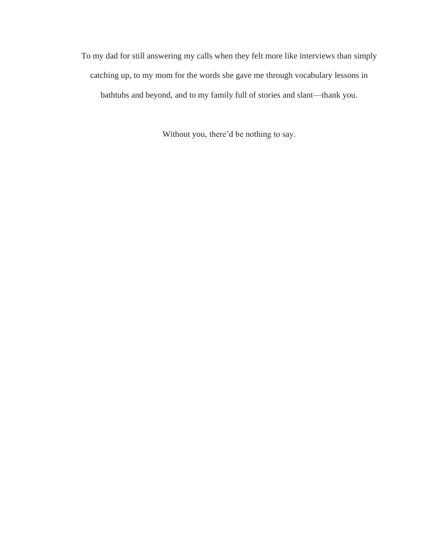To my dad for still answering my calls when they felt more like interviews than simply catching up, to my mom for the words she gave me through vocabulary lessons in bathtubs and beyond, and to my family full of stories and slant—thank you.

Without you, there'd be nothing to say.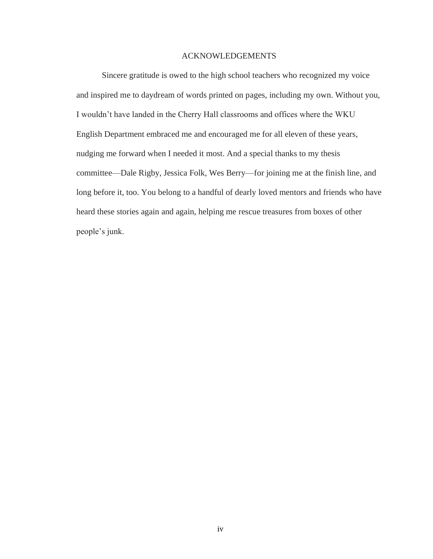### ACKNOWLEDGEMENTS

Sincere gratitude is owed to the high school teachers who recognized my voice and inspired me to daydream of words printed on pages, including my own. Without you, I wouldn't have landed in the Cherry Hall classrooms and offices where the WKU English Department embraced me and encouraged me for all eleven of these years, nudging me forward when I needed it most. And a special thanks to my thesis committee—Dale Rigby, Jessica Folk, Wes Berry—for joining me at the finish line, and long before it, too. You belong to a handful of dearly loved mentors and friends who have heard these stories again and again, helping me rescue treasures from boxes of other people's junk.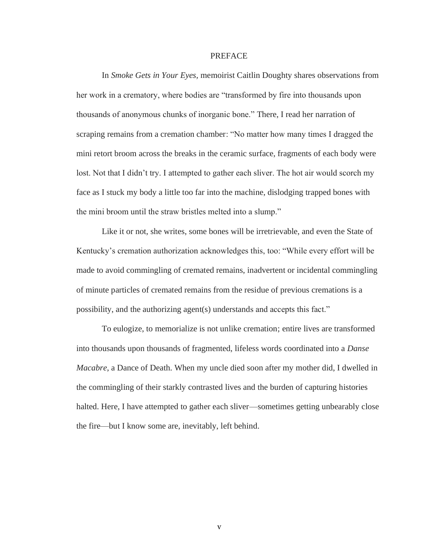#### **PREFACE**

In *Smoke Gets in Your Eyes,* memoirist Caitlin Doughty shares observations from her work in a crematory, where bodies are "transformed by fire into thousands upon thousands of anonymous chunks of inorganic bone." There, I read her narration of scraping remains from a cremation chamber: "No matter how many times I dragged the mini retort broom across the breaks in the ceramic surface, fragments of each body were lost. Not that I didn't try. I attempted to gather each sliver. The hot air would scorch my face as I stuck my body a little too far into the machine, dislodging trapped bones with the mini broom until the straw bristles melted into a slump."

Like it or not, she writes, some bones will be irretrievable, and even the State of Kentucky's cremation authorization acknowledges this, too: "While every effort will be made to avoid commingling of cremated remains, inadvertent or incidental commingling of minute particles of cremated remains from the residue of previous cremations is a possibility, and the authorizing agent(s) understands and accepts this fact."

To eulogize, to memorialize is not unlike cremation; entire lives are transformed into thousands upon thousands of fragmented, lifeless words coordinated into a *Danse Macabre*, a Dance of Death. When my uncle died soon after my mother did, I dwelled in the commingling of their starkly contrasted lives and the burden of capturing histories halted. Here, I have attempted to gather each sliver—sometimes getting unbearably close the fire—but I know some are, inevitably, left behind.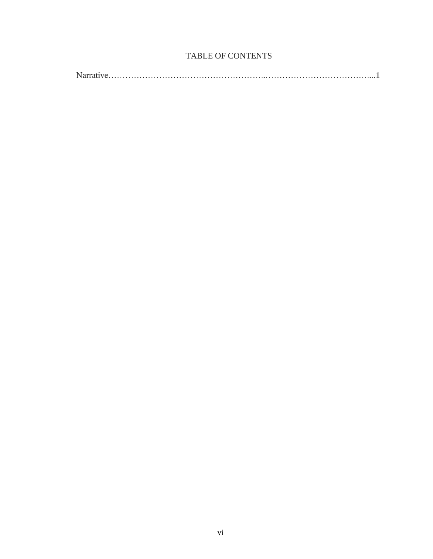## TABLE OF CONTENTS

|--|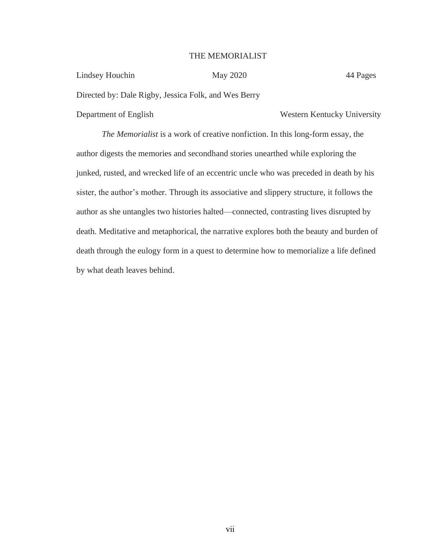### THE MEMORIALIST

| Lindsey Houchin                                      | May 2020 | 44 Pages                    |
|------------------------------------------------------|----------|-----------------------------|
| Directed by: Dale Rigby, Jessica Folk, and Wes Berry |          |                             |
| Department of English                                |          | Western Kentucky University |

*The Memorialist* is a work of creative nonfiction. In this long-form essay, the author digests the memories and secondhand stories unearthed while exploring the junked, rusted, and wrecked life of an eccentric uncle who was preceded in death by his sister, the author's mother. Through its associative and slippery structure, it follows the author as she untangles two histories halted—connected, contrasting lives disrupted by death. Meditative and metaphorical, the narrative explores both the beauty and burden of death through the eulogy form in a quest to determine how to memorialize a life defined by what death leaves behind.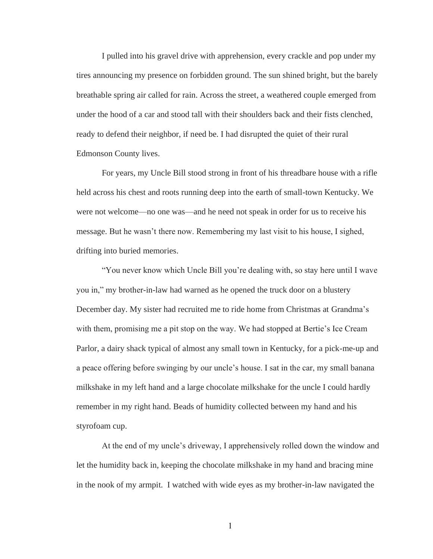I pulled into his gravel drive with apprehension, every crackle and pop under my tires announcing my presence on forbidden ground. The sun shined bright, but the barely breathable spring air called for rain. Across the street, a weathered couple emerged from under the hood of a car and stood tall with their shoulders back and their fists clenched, ready to defend their neighbor, if need be. I had disrupted the quiet of their rural Edmonson County lives.

For years, my Uncle Bill stood strong in front of his threadbare house with a rifle held across his chest and roots running deep into the earth of small-town Kentucky. We were not welcome—no one was—and he need not speak in order for us to receive his message. But he wasn't there now. Remembering my last visit to his house, I sighed, drifting into buried memories.

"You never know which Uncle Bill you're dealing with, so stay here until I wave you in," my brother-in-law had warned as he opened the truck door on a blustery December day. My sister had recruited me to ride home from Christmas at Grandma's with them, promising me a pit stop on the way. We had stopped at Bertie's Ice Cream Parlor, a dairy shack typical of almost any small town in Kentucky, for a pick-me-up and a peace offering before swinging by our uncle's house. I sat in the car, my small banana milkshake in my left hand and a large chocolate milkshake for the uncle I could hardly remember in my right hand. Beads of humidity collected between my hand and his styrofoam cup.

At the end of my uncle's driveway, I apprehensively rolled down the window and let the humidity back in, keeping the chocolate milkshake in my hand and bracing mine in the nook of my armpit. I watched with wide eyes as my brother-in-law navigated the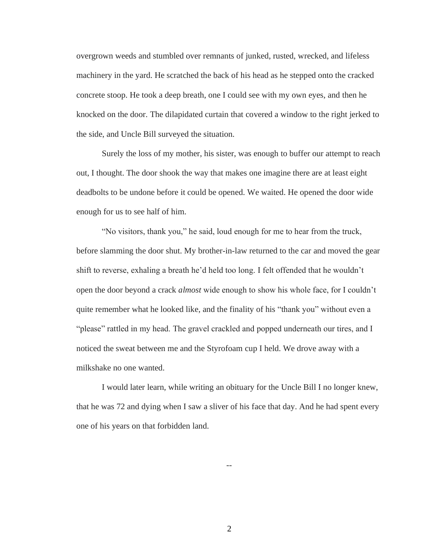overgrown weeds and stumbled over remnants of junked, rusted, wrecked, and lifeless machinery in the yard. He scratched the back of his head as he stepped onto the cracked concrete stoop. He took a deep breath, one I could see with my own eyes, and then he knocked on the door. The dilapidated curtain that covered a window to the right jerked to the side, and Uncle Bill surveyed the situation.

Surely the loss of my mother, his sister, was enough to buffer our attempt to reach out, I thought. The door shook the way that makes one imagine there are at least eight deadbolts to be undone before it could be opened. We waited. He opened the door wide enough for us to see half of him.

"No visitors, thank you," he said, loud enough for me to hear from the truck, before slamming the door shut. My brother-in-law returned to the car and moved the gear shift to reverse, exhaling a breath he'd held too long. I felt offended that he wouldn't open the door beyond a crack *almost* wide enough to show his whole face, for I couldn't quite remember what he looked like, and the finality of his "thank you" without even a "please" rattled in my head. The gravel crackled and popped underneath our tires, and I noticed the sweat between me and the Styrofoam cup I held. We drove away with a milkshake no one wanted.

I would later learn, while writing an obituary for the Uncle Bill I no longer knew, that he was 72 and dying when I saw a sliver of his face that day. And he had spent every one of his years on that forbidden land.

--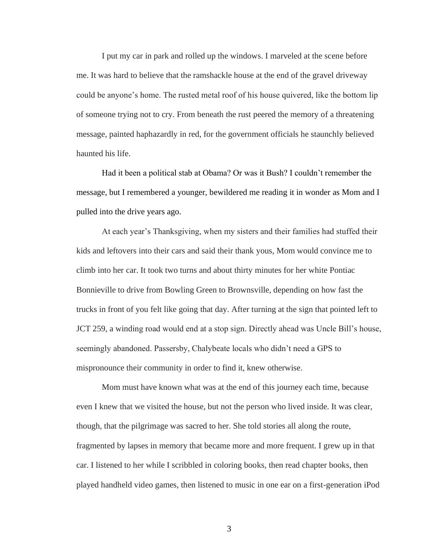I put my car in park and rolled up the windows. I marveled at the scene before me. It was hard to believe that the ramshackle house at the end of the gravel driveway could be anyone's home. The rusted metal roof of his house quivered, like the bottom lip of someone trying not to cry. From beneath the rust peered the memory of a threatening message, painted haphazardly in red, for the government officials he staunchly believed haunted his life.

Had it been a political stab at Obama? Or was it Bush? I couldn't remember the message, but I remembered a younger, bewildered me reading it in wonder as Mom and I pulled into the drive years ago.

At each year's Thanksgiving, when my sisters and their families had stuffed their kids and leftovers into their cars and said their thank yous, Mom would convince me to climb into her car. It took two turns and about thirty minutes for her white Pontiac Bonnieville to drive from Bowling Green to Brownsville, depending on how fast the trucks in front of you felt like going that day. After turning at the sign that pointed left to JCT 259, a winding road would end at a stop sign. Directly ahead was Uncle Bill's house, seemingly abandoned. Passersby, Chalybeate locals who didn't need a GPS to mispronounce their community in order to find it, knew otherwise.

Mom must have known what was at the end of this journey each time, because even I knew that we visited the house, but not the person who lived inside. It was clear, though, that the pilgrimage was sacred to her. She told stories all along the route, fragmented by lapses in memory that became more and more frequent. I grew up in that car. I listened to her while I scribbled in coloring books, then read chapter books, then played handheld video games, then listened to music in one ear on a first-generation iPod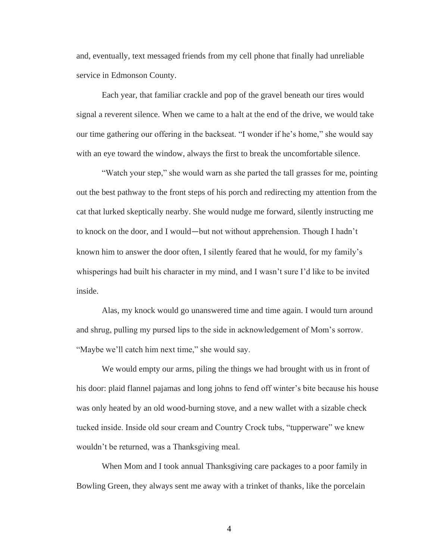and, eventually, text messaged friends from my cell phone that finally had unreliable service in Edmonson County.

Each year, that familiar crackle and pop of the gravel beneath our tires would signal a reverent silence. When we came to a halt at the end of the drive, we would take our time gathering our offering in the backseat. "I wonder if he's home," she would say with an eye toward the window, always the first to break the uncomfortable silence.

"Watch your step," she would warn as she parted the tall grasses for me, pointing out the best pathway to the front steps of his porch and redirecting my attention from the cat that lurked skeptically nearby. She would nudge me forward, silently instructing me to knock on the door, and I would—but not without apprehension. Though I hadn't known him to answer the door often, I silently feared that he would, for my family's whisperings had built his character in my mind, and I wasn't sure I'd like to be invited inside.

Alas, my knock would go unanswered time and time again. I would turn around and shrug, pulling my pursed lips to the side in acknowledgement of Mom's sorrow. "Maybe we'll catch him next time," she would say.

We would empty our arms, piling the things we had brought with us in front of his door: plaid flannel pajamas and long johns to fend off winter's bite because his house was only heated by an old wood-burning stove, and a new wallet with a sizable check tucked inside. Inside old sour cream and Country Crock tubs, "tupperware" we knew wouldn't be returned, was a Thanksgiving meal.

When Mom and I took annual Thanksgiving care packages to a poor family in Bowling Green, they always sent me away with a trinket of thanks, like the porcelain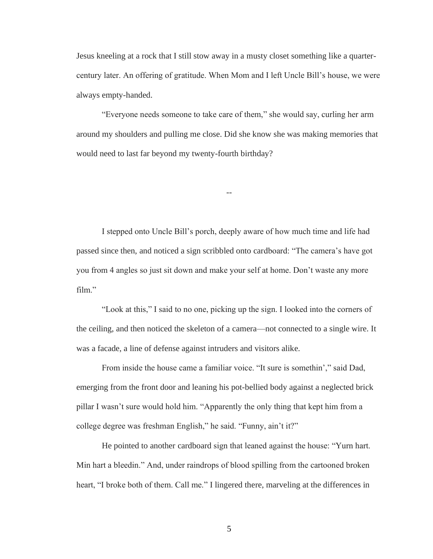Jesus kneeling at a rock that I still stow away in a musty closet something like a quartercentury later. An offering of gratitude. When Mom and I left Uncle Bill's house, we were always empty-handed.

"Everyone needs someone to take care of them," she would say, curling her arm around my shoulders and pulling me close. Did she know she was making memories that would need to last far beyond my twenty-fourth birthday?

--

I stepped onto Uncle Bill's porch, deeply aware of how much time and life had passed since then, and noticed a sign scribbled onto cardboard: "The camera's have got you from 4 angles so just sit down and make your self at home. Don't waste any more film."

"Look at this," I said to no one, picking up the sign. I looked into the corners of the ceiling, and then noticed the skeleton of a camera—not connected to a single wire. It was a facade, a line of defense against intruders and visitors alike.

From inside the house came a familiar voice. "It sure is somethin'," said Dad, emerging from the front door and leaning his pot-bellied body against a neglected brick pillar I wasn't sure would hold him. "Apparently the only thing that kept him from a college degree was freshman English," he said. "Funny, ain't it?"

He pointed to another cardboard sign that leaned against the house: "Yurn hart. Min hart a bleedin." And, under raindrops of blood spilling from the cartooned broken heart, "I broke both of them. Call me." I lingered there, marveling at the differences in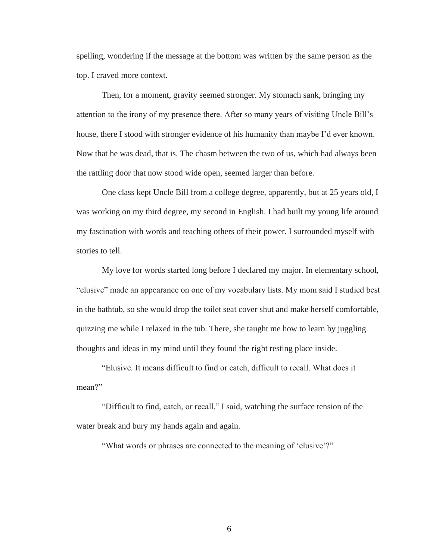spelling, wondering if the message at the bottom was written by the same person as the top. I craved more context.

Then, for a moment, gravity seemed stronger. My stomach sank, bringing my attention to the irony of my presence there. After so many years of visiting Uncle Bill's house, there I stood with stronger evidence of his humanity than maybe I'd ever known. Now that he was dead, that is. The chasm between the two of us, which had always been the rattling door that now stood wide open, seemed larger than before.

One class kept Uncle Bill from a college degree, apparently, but at 25 years old, I was working on my third degree, my second in English. I had built my young life around my fascination with words and teaching others of their power. I surrounded myself with stories to tell.

My love for words started long before I declared my major. In elementary school, "elusive" made an appearance on one of my vocabulary lists. My mom said I studied best in the bathtub, so she would drop the toilet seat cover shut and make herself comfortable, quizzing me while I relaxed in the tub. There, she taught me how to learn by juggling thoughts and ideas in my mind until they found the right resting place inside.

"Elusive. It means difficult to find or catch, difficult to recall. What does it mean?"

"Difficult to find, catch, or recall," I said, watching the surface tension of the water break and bury my hands again and again.

"What words or phrases are connected to the meaning of 'elusive'?"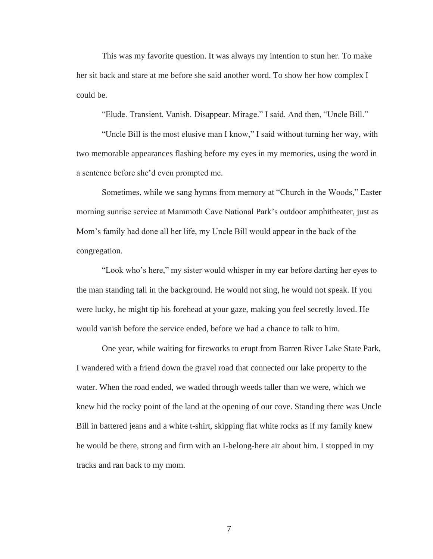This was my favorite question. It was always my intention to stun her. To make her sit back and stare at me before she said another word. To show her how complex I could be.

"Elude. Transient. Vanish. Disappear. Mirage." I said. And then, "Uncle Bill."

"Uncle Bill is the most elusive man I know," I said without turning her way, with two memorable appearances flashing before my eyes in my memories, using the word in a sentence before she'd even prompted me.

Sometimes, while we sang hymns from memory at "Church in the Woods," Easter morning sunrise service at Mammoth Cave National Park's outdoor amphitheater, just as Mom's family had done all her life, my Uncle Bill would appear in the back of the congregation.

"Look who's here," my sister would whisper in my ear before darting her eyes to the man standing tall in the background. He would not sing, he would not speak. If you were lucky, he might tip his forehead at your gaze, making you feel secretly loved. He would vanish before the service ended, before we had a chance to talk to him.

One year, while waiting for fireworks to erupt from Barren River Lake State Park, I wandered with a friend down the gravel road that connected our lake property to the water. When the road ended, we waded through weeds taller than we were, which we knew hid the rocky point of the land at the opening of our cove. Standing there was Uncle Bill in battered jeans and a white t-shirt, skipping flat white rocks as if my family knew he would be there, strong and firm with an I-belong-here air about him. I stopped in my tracks and ran back to my mom.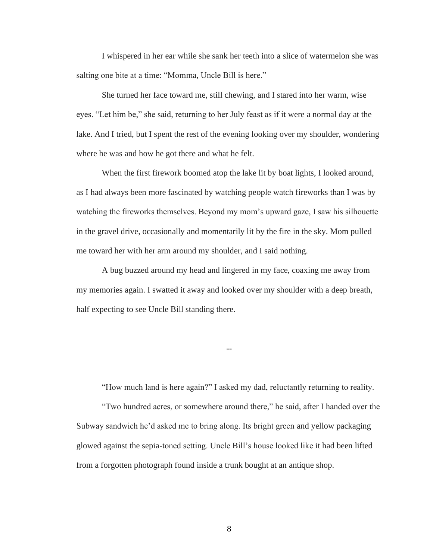I whispered in her ear while she sank her teeth into a slice of watermelon she was salting one bite at a time: "Momma, Uncle Bill is here."

She turned her face toward me, still chewing, and I stared into her warm, wise eyes. "Let him be," she said, returning to her July feast as if it were a normal day at the lake. And I tried, but I spent the rest of the evening looking over my shoulder, wondering where he was and how he got there and what he felt.

When the first firework boomed atop the lake lit by boat lights, I looked around, as I had always been more fascinated by watching people watch fireworks than I was by watching the fireworks themselves. Beyond my mom's upward gaze, I saw his silhouette in the gravel drive, occasionally and momentarily lit by the fire in the sky. Mom pulled me toward her with her arm around my shoulder, and I said nothing.

A bug buzzed around my head and lingered in my face, coaxing me away from my memories again. I swatted it away and looked over my shoulder with a deep breath, half expecting to see Uncle Bill standing there.

"How much land is here again?" I asked my dad, reluctantly returning to reality.

--

"Two hundred acres, or somewhere around there," he said, after I handed over the Subway sandwich he'd asked me to bring along. Its bright green and yellow packaging glowed against the sepia-toned setting. Uncle Bill's house looked like it had been lifted from a forgotten photograph found inside a trunk bought at an antique shop.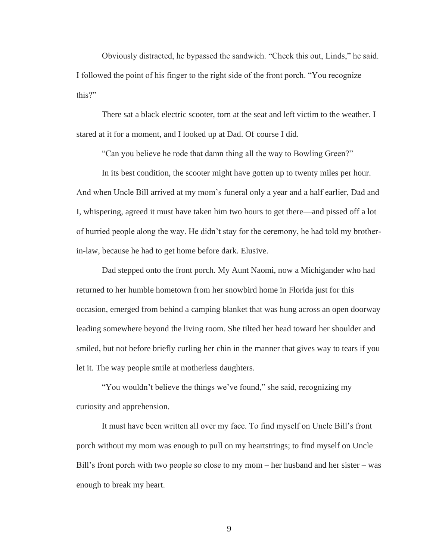Obviously distracted, he bypassed the sandwich. "Check this out, Linds," he said. I followed the point of his finger to the right side of the front porch. "You recognize this?"

There sat a black electric scooter, torn at the seat and left victim to the weather. I stared at it for a moment, and I looked up at Dad. Of course I did.

"Can you believe he rode that damn thing all the way to Bowling Green?"

In its best condition, the scooter might have gotten up to twenty miles per hour. And when Uncle Bill arrived at my mom's funeral only a year and a half earlier, Dad and I, whispering, agreed it must have taken him two hours to get there—and pissed off a lot of hurried people along the way. He didn't stay for the ceremony, he had told my brotherin-law, because he had to get home before dark. Elusive.

Dad stepped onto the front porch. My Aunt Naomi, now a Michigander who had returned to her humble hometown from her snowbird home in Florida just for this occasion, emerged from behind a camping blanket that was hung across an open doorway leading somewhere beyond the living room. She tilted her head toward her shoulder and smiled, but not before briefly curling her chin in the manner that gives way to tears if you let it. The way people smile at motherless daughters.

"You wouldn't believe the things we've found," she said, recognizing my curiosity and apprehension.

It must have been written all over my face. To find myself on Uncle Bill's front porch without my mom was enough to pull on my heartstrings; to find myself on Uncle Bill's front porch with two people so close to my mom – her husband and her sister – was enough to break my heart.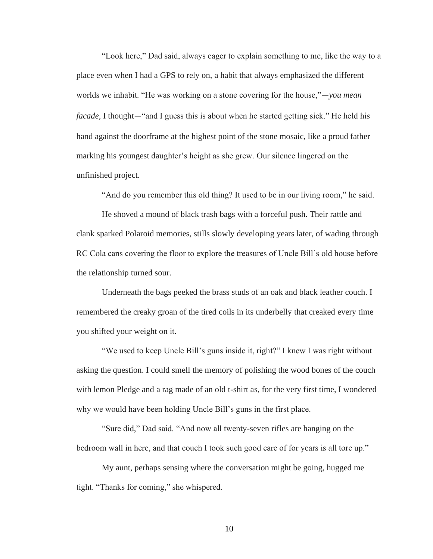"Look here," Dad said, always eager to explain something to me, like the way to a place even when I had a GPS to rely on, a habit that always emphasized the different worlds we inhabit. "He was working on a stone covering for the house,"—*you mean facade,* I thought—"and I guess this is about when he started getting sick." He held his hand against the doorframe at the highest point of the stone mosaic, like a proud father marking his youngest daughter's height as she grew. Our silence lingered on the unfinished project.

"And do you remember this old thing? It used to be in our living room," he said.

He shoved a mound of black trash bags with a forceful push. Their rattle and clank sparked Polaroid memories, stills slowly developing years later, of wading through RC Cola cans covering the floor to explore the treasures of Uncle Bill's old house before the relationship turned sour.

Underneath the bags peeked the brass studs of an oak and black leather couch. I remembered the creaky groan of the tired coils in its underbelly that creaked every time you shifted your weight on it.

"We used to keep Uncle Bill's guns inside it, right?" I knew I was right without asking the question. I could smell the memory of polishing the wood bones of the couch with lemon Pledge and a rag made of an old t-shirt as, for the very first time, I wondered why we would have been holding Uncle Bill's guns in the first place.

"Sure did," Dad said. "And now all twenty-seven rifles are hanging on the bedroom wall in here, and that couch I took such good care of for years is all tore up."

My aunt, perhaps sensing where the conversation might be going, hugged me tight. "Thanks for coming," she whispered.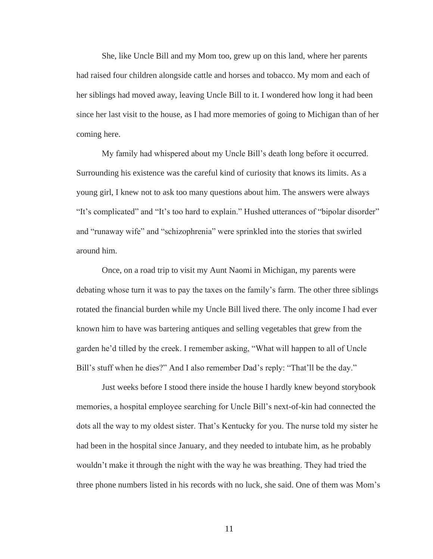She, like Uncle Bill and my Mom too, grew up on this land, where her parents had raised four children alongside cattle and horses and tobacco. My mom and each of her siblings had moved away, leaving Uncle Bill to it. I wondered how long it had been since her last visit to the house, as I had more memories of going to Michigan than of her coming here.

My family had whispered about my Uncle Bill's death long before it occurred. Surrounding his existence was the careful kind of curiosity that knows its limits. As a young girl, I knew not to ask too many questions about him. The answers were always "It's complicated" and "It's too hard to explain." Hushed utterances of "bipolar disorder" and "runaway wife" and "schizophrenia" were sprinkled into the stories that swirled around him.

Once, on a road trip to visit my Aunt Naomi in Michigan, my parents were debating whose turn it was to pay the taxes on the family's farm. The other three siblings rotated the financial burden while my Uncle Bill lived there. The only income I had ever known him to have was bartering antiques and selling vegetables that grew from the garden he'd tilled by the creek. I remember asking, "What will happen to all of Uncle Bill's stuff when he dies?" And I also remember Dad's reply: "That'll be the day."

Just weeks before I stood there inside the house I hardly knew beyond storybook memories, a hospital employee searching for Uncle Bill's next-of-kin had connected the dots all the way to my oldest sister. That's Kentucky for you. The nurse told my sister he had been in the hospital since January, and they needed to intubate him, as he probably wouldn't make it through the night with the way he was breathing. They had tried the three phone numbers listed in his records with no luck, she said. One of them was Mom's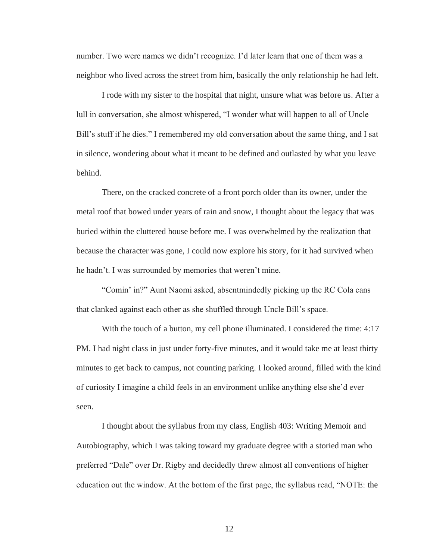number. Two were names we didn't recognize. I'd later learn that one of them was a neighbor who lived across the street from him, basically the only relationship he had left.

I rode with my sister to the hospital that night, unsure what was before us. After a lull in conversation, she almost whispered, "I wonder what will happen to all of Uncle Bill's stuff if he dies." I remembered my old conversation about the same thing, and I sat in silence, wondering about what it meant to be defined and outlasted by what you leave behind.

There, on the cracked concrete of a front porch older than its owner, under the metal roof that bowed under years of rain and snow, I thought about the legacy that was buried within the cluttered house before me. I was overwhelmed by the realization that because the character was gone, I could now explore his story, for it had survived when he hadn't. I was surrounded by memories that weren't mine.

"Comin' in?" Aunt Naomi asked, absentmindedly picking up the RC Cola cans that clanked against each other as she shuffled through Uncle Bill's space.

With the touch of a button, my cell phone illuminated. I considered the time: 4:17 PM. I had night class in just under forty-five minutes, and it would take me at least thirty minutes to get back to campus, not counting parking. I looked around, filled with the kind of curiosity I imagine a child feels in an environment unlike anything else she'd ever seen.

I thought about the syllabus from my class, English 403: Writing Memoir and Autobiography, which I was taking toward my graduate degree with a storied man who preferred "Dale" over Dr. Rigby and decidedly threw almost all conventions of higher education out the window. At the bottom of the first page, the syllabus read, "NOTE: the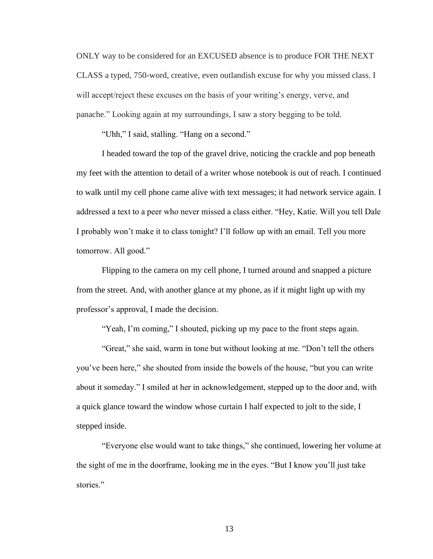ONLY way to be considered for an EXCUSED absence is to produce FOR THE NEXT CLASS a typed, 750-word, creative, even outlandish excuse for why you missed class. I will accept/reject these excuses on the basis of your writing's energy, verve, and panache." Looking again at my surroundings, I saw a story begging to be told.

"Uhh," I said, stalling. "Hang on a second."

I headed toward the top of the gravel drive, noticing the crackle and pop beneath my feet with the attention to detail of a writer whose notebook is out of reach. I continued to walk until my cell phone came alive with text messages; it had network service again. I addressed a text to a peer who never missed a class either. "Hey, Katie. Will you tell Dale I probably won't make it to class tonight? I'll follow up with an email. Tell you more tomorrow. All good."

Flipping to the camera on my cell phone, I turned around and snapped a picture from the street. And, with another glance at my phone, as if it might light up with my professor's approval, I made the decision.

"Yeah, I'm coming," I shouted, picking up my pace to the front steps again.

"Great," she said, warm in tone but without looking at me. "Don't tell the others you've been here," she shouted from inside the bowels of the house, "but you can write about it someday." I smiled at her in acknowledgement, stepped up to the door and, with a quick glance toward the window whose curtain I half expected to jolt to the side, I stepped inside.

"Everyone else would want to take things," she continued, lowering her volume at the sight of me in the doorframe, looking me in the eyes. "But I know you'll just take stories."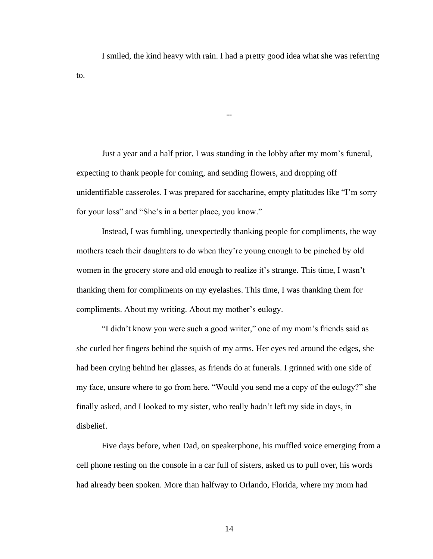I smiled, the kind heavy with rain. I had a pretty good idea what she was referring to.

 $\overline{a}$ 

Just a year and a half prior, I was standing in the lobby after my mom's funeral, expecting to thank people for coming, and sending flowers, and dropping off unidentifiable casseroles. I was prepared for saccharine, empty platitudes like "I'm sorry for your loss" and "She's in a better place, you know."

Instead, I was fumbling, unexpectedly thanking people for compliments, the way mothers teach their daughters to do when they're young enough to be pinched by old women in the grocery store and old enough to realize it's strange. This time, I wasn't thanking them for compliments on my eyelashes. This time, I was thanking them for compliments. About my writing. About my mother's eulogy.

"I didn't know you were such a good writer," one of my mom's friends said as she curled her fingers behind the squish of my arms. Her eyes red around the edges, she had been crying behind her glasses, as friends do at funerals. I grinned with one side of my face, unsure where to go from here. "Would you send me a copy of the eulogy?" she finally asked, and I looked to my sister, who really hadn't left my side in days, in disbelief.

Five days before, when Dad, on speakerphone, his muffled voice emerging from a cell phone resting on the console in a car full of sisters, asked us to pull over, his words had already been spoken. More than halfway to Orlando, Florida, where my mom had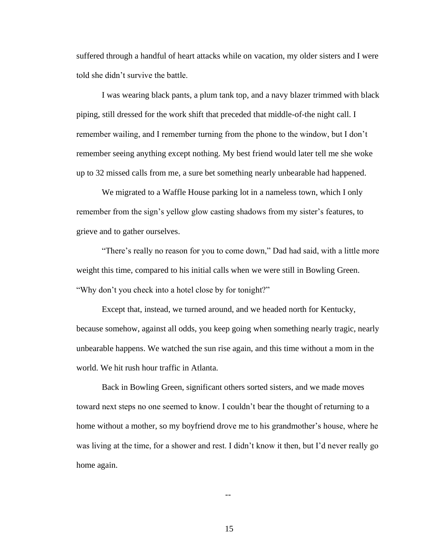suffered through a handful of heart attacks while on vacation, my older sisters and I were told she didn't survive the battle.

I was wearing black pants, a plum tank top, and a navy blazer trimmed with black piping, still dressed for the work shift that preceded that middle-of-the night call. I remember wailing, and I remember turning from the phone to the window, but I don't remember seeing anything except nothing. My best friend would later tell me she woke up to 32 missed calls from me, a sure bet something nearly unbearable had happened.

We migrated to a Waffle House parking lot in a nameless town, which I only remember from the sign's yellow glow casting shadows from my sister's features, to grieve and to gather ourselves.

"There's really no reason for you to come down," Dad had said, with a little more weight this time, compared to his initial calls when we were still in Bowling Green. "Why don't you check into a hotel close by for tonight?"

Except that, instead, we turned around, and we headed north for Kentucky, because somehow, against all odds, you keep going when something nearly tragic, nearly unbearable happens. We watched the sun rise again, and this time without a mom in the world. We hit rush hour traffic in Atlanta.

Back in Bowling Green, significant others sorted sisters, and we made moves toward next steps no one seemed to know. I couldn't bear the thought of returning to a home without a mother, so my boyfriend drove me to his grandmother's house, where he was living at the time, for a shower and rest. I didn't know it then, but I'd never really go home again.

--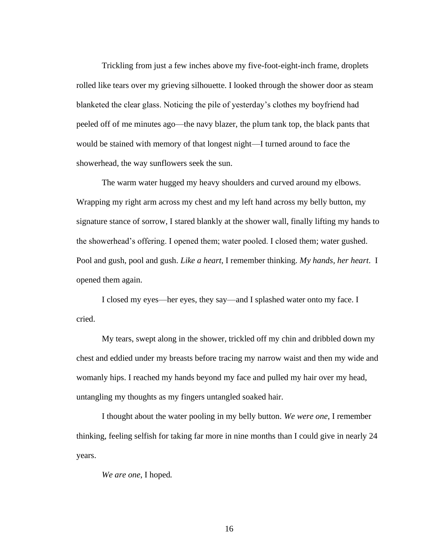Trickling from just a few inches above my five-foot-eight-inch frame, droplets rolled like tears over my grieving silhouette. I looked through the shower door as steam blanketed the clear glass. Noticing the pile of yesterday's clothes my boyfriend had peeled off of me minutes ago—the navy blazer, the plum tank top, the black pants that would be stained with memory of that longest night—I turned around to face the showerhead, the way sunflowers seek the sun.

The warm water hugged my heavy shoulders and curved around my elbows. Wrapping my right arm across my chest and my left hand across my belly button, my signature stance of sorrow, I stared blankly at the shower wall, finally lifting my hands to the showerhead's offering. I opened them; water pooled. I closed them; water gushed. Pool and gush, pool and gush. *Like a heart*, I remember thinking. *My hands, her heart*. I opened them again.

I closed my eyes—her eyes, they say—and I splashed water onto my face. I cried.

My tears, swept along in the shower, trickled off my chin and dribbled down my chest and eddied under my breasts before tracing my narrow waist and then my wide and womanly hips. I reached my hands beyond my face and pulled my hair over my head, untangling my thoughts as my fingers untangled soaked hair.

I thought about the water pooling in my belly button. *We were one*, I remember thinking, feeling selfish for taking far more in nine months than I could give in nearly 24 years.

*We are one*, I hoped*.*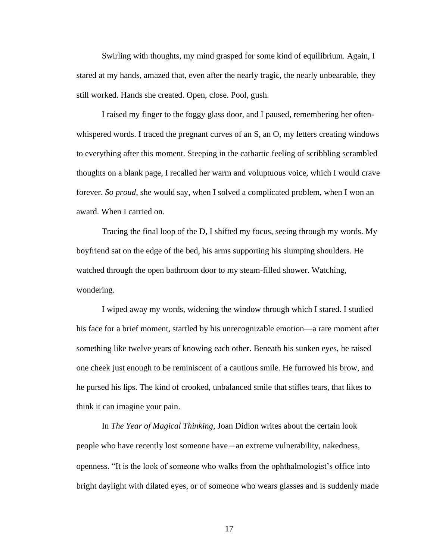Swirling with thoughts, my mind grasped for some kind of equilibrium. Again, I stared at my hands, amazed that, even after the nearly tragic, the nearly unbearable, they still worked. Hands she created. Open, close. Pool, gush.

I raised my finger to the foggy glass door, and I paused, remembering her oftenwhispered words. I traced the pregnant curves of an S, an O, my letters creating windows to everything after this moment. Steeping in the cathartic feeling of scribbling scrambled thoughts on a blank page, I recalled her warm and voluptuous voice, which I would crave forever. *So proud*, she would say, when I solved a complicated problem, when I won an award. When I carried on.

Tracing the final loop of the D, I shifted my focus, seeing through my words. My boyfriend sat on the edge of the bed, his arms supporting his slumping shoulders. He watched through the open bathroom door to my steam-filled shower. Watching, wondering.

I wiped away my words, widening the window through which I stared. I studied his face for a brief moment, startled by his unrecognizable emotion—a rare moment after something like twelve years of knowing each other. Beneath his sunken eyes, he raised one cheek just enough to be reminiscent of a cautious smile. He furrowed his brow, and he pursed his lips. The kind of crooked, unbalanced smile that stifles tears, that likes to think it can imagine your pain.

In *The Year of Magical Thinking*, Joan Didion writes about the certain look people who have recently lost someone have—an extreme vulnerability, nakedness, openness. "It is the look of someone who walks from the ophthalmologist's office into bright daylight with dilated eyes, or of someone who wears glasses and is suddenly made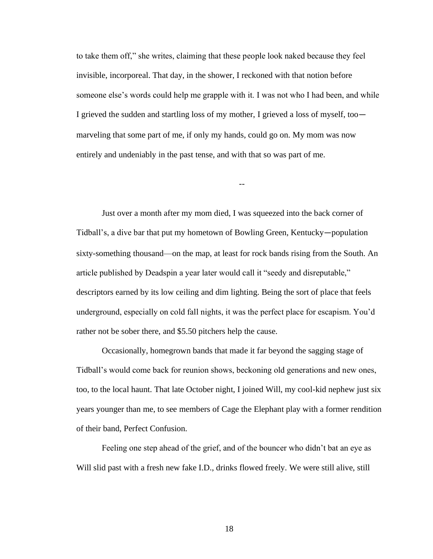to take them off," she writes, claiming that these people look naked because they feel invisible, incorporeal. That day, in the shower, I reckoned with that notion before someone else's words could help me grapple with it. I was not who I had been, and while I grieved the sudden and startling loss of my mother, I grieved a loss of myself, too marveling that some part of me, if only my hands, could go on. My mom was now entirely and undeniably in the past tense, and with that so was part of me.

--

Just over a month after my mom died, I was squeezed into the back corner of Tidball's, a dive bar that put my hometown of Bowling Green, Kentucky—population sixty-something thousand—on the map, at least for rock bands rising from the South. An article published by Deadspin a year later would call it "seedy and disreputable," descriptors earned by its low ceiling and dim lighting. Being the sort of place that feels underground, especially on cold fall nights, it was the perfect place for escapism. You'd rather not be sober there, and \$5.50 pitchers help the cause.

Occasionally, homegrown bands that made it far beyond the sagging stage of Tidball's would come back for reunion shows, beckoning old generations and new ones, too, to the local haunt. That late October night, I joined Will, my cool-kid nephew just six years younger than me, to see members of Cage the Elephant play with a former rendition of their band, Perfect Confusion.

Feeling one step ahead of the grief, and of the bouncer who didn't bat an eye as Will slid past with a fresh new fake I.D., drinks flowed freely. We were still alive, still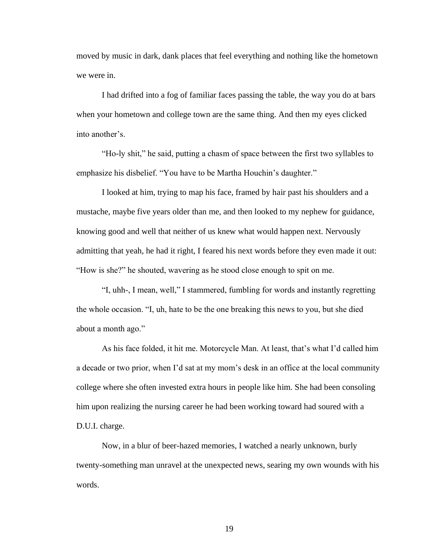moved by music in dark, dank places that feel everything and nothing like the hometown we were in.

I had drifted into a fog of familiar faces passing the table, the way you do at bars when your hometown and college town are the same thing. And then my eyes clicked into another's.

"Ho-ly shit," he said, putting a chasm of space between the first two syllables to emphasize his disbelief. "You have to be Martha Houchin's daughter."

I looked at him, trying to map his face, framed by hair past his shoulders and a mustache, maybe five years older than me, and then looked to my nephew for guidance, knowing good and well that neither of us knew what would happen next. Nervously admitting that yeah, he had it right, I feared his next words before they even made it out: "How is she?" he shouted, wavering as he stood close enough to spit on me.

"I, uhh-, I mean, well," I stammered, fumbling for words and instantly regretting the whole occasion. "I, uh, hate to be the one breaking this news to you, but she died about a month ago."

As his face folded, it hit me. Motorcycle Man. At least, that's what I'd called him a decade or two prior, when I'd sat at my mom's desk in an office at the local community college where she often invested extra hours in people like him. She had been consoling him upon realizing the nursing career he had been working toward had soured with a D.U.I. charge.

Now, in a blur of beer-hazed memories, I watched a nearly unknown, burly twenty-something man unravel at the unexpected news, searing my own wounds with his words.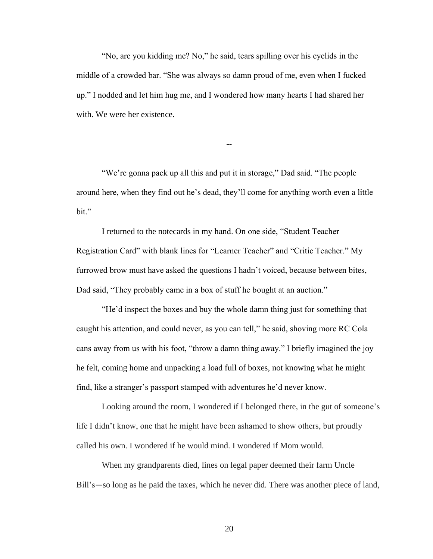"No, are you kidding me? No," he said, tears spilling over his eyelids in the middle of a crowded bar. "She was always so damn proud of me, even when I fucked up." I nodded and let him hug me, and I wondered how many hearts I had shared her with. We were her existence.

--

"We're gonna pack up all this and put it in storage," Dad said. "The people around here, when they find out he's dead, they'll come for anything worth even a little bit."

I returned to the notecards in my hand. On one side, "Student Teacher Registration Card" with blank lines for "Learner Teacher" and "Critic Teacher." My furrowed brow must have asked the questions I hadn't voiced, because between bites, Dad said, "They probably came in a box of stuff he bought at an auction."

"He'd inspect the boxes and buy the whole damn thing just for something that caught his attention, and could never, as you can tell," he said, shoving more RC Cola cans away from us with his foot, "throw a damn thing away." I briefly imagined the joy he felt, coming home and unpacking a load full of boxes, not knowing what he might find, like a stranger's passport stamped with adventures he'd never know.

Looking around the room, I wondered if I belonged there, in the gut of someone's life I didn't know, one that he might have been ashamed to show others, but proudly called his own. I wondered if he would mind. I wondered if Mom would.

When my grandparents died, lines on legal paper deemed their farm Uncle Bill's—so long as he paid the taxes, which he never did. There was another piece of land,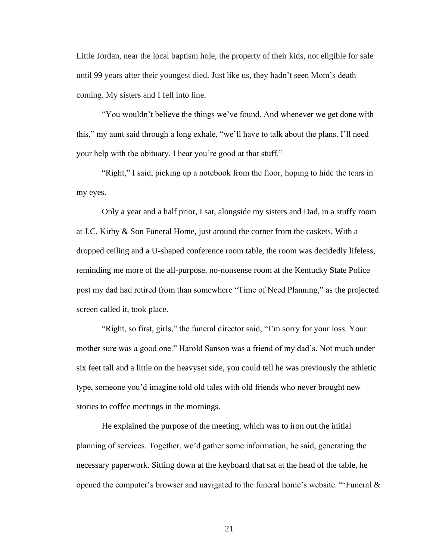Little Jordan, near the local baptism hole, the property of their kids, not eligible for sale until 99 years after their youngest died. Just like us, they hadn't seen Mom's death coming. My sisters and I fell into line.

"You wouldn't believe the things we've found. And whenever we get done with this," my aunt said through a long exhale, "we'll have to talk about the plans. I'll need your help with the obituary. I hear you're good at that stuff."

"Right," I said, picking up a notebook from the floor, hoping to hide the tears in my eyes.

Only a year and a half prior, I sat, alongside my sisters and Dad, in a stuffy room at J.C. Kirby & Son Funeral Home, just around the corner from the caskets. With a dropped ceiling and a U-shaped conference room table, the room was decidedly lifeless, reminding me more of the all-purpose, no-nonsense room at the Kentucky State Police post my dad had retired from than somewhere "Time of Need Planning," as the projected screen called it, took place.

"Right, so first, girls," the funeral director said, "I'm sorry for your loss. Your mother sure was a good one." Harold Sanson was a friend of my dad's. Not much under six feet tall and a little on the heavyset side, you could tell he was previously the athletic type, someone you'd imagine told old tales with old friends who never brought new stories to coffee meetings in the mornings.

He explained the purpose of the meeting, which was to iron out the initial planning of services. Together, we'd gather some information, he said, generating the necessary paperwork. Sitting down at the keyboard that sat at the head of the table, he opened the computer's browser and navigated to the funeral home's website. "'Funeral &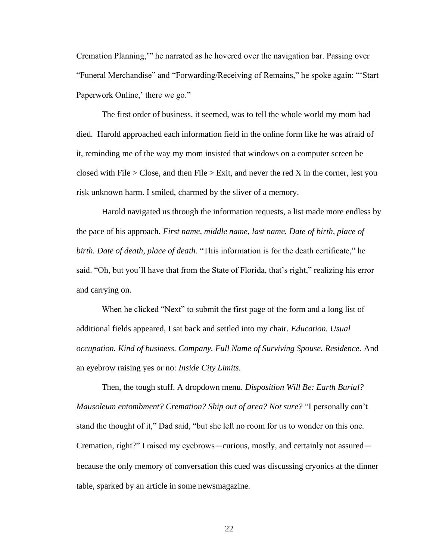Cremation Planning,'" he narrated as he hovered over the navigation bar. Passing over "Funeral Merchandise" and "Forwarding/Receiving of Remains," he spoke again: "'Start Paperwork Online,' there we go."

The first order of business, it seemed, was to tell the whole world my mom had died. Harold approached each information field in the online form like he was afraid of it, reminding me of the way my mom insisted that windows on a computer screen be closed with File  $>$  Close, and then File  $>$  Exit, and never the red X in the corner, lest you risk unknown harm. I smiled, charmed by the sliver of a memory.

Harold navigated us through the information requests, a list made more endless by the pace of his approach. *First name, middle name, last name. Date of birth, place of birth. Date of death, place of death.* "This information is for the death certificate," he said. "Oh, but you'll have that from the State of Florida, that's right," realizing his error and carrying on.

When he clicked "Next" to submit the first page of the form and a long list of additional fields appeared, I sat back and settled into my chair. *Education. Usual occupation. Kind of business. Company. Full Name of Surviving Spouse. Residence.* And an eyebrow raising yes or no: *Inside City Limits.* 

Then, the tough stuff. A dropdown menu. *Disposition Will Be: Earth Burial? Mausoleum entombment? Cremation? Ship out of area? Not sure?* "I personally can't stand the thought of it," Dad said, "but she left no room for us to wonder on this one. Cremation, right?" I raised my eyebrows—curious, mostly, and certainly not assured because the only memory of conversation this cued was discussing cryonics at the dinner table, sparked by an article in some newsmagazine.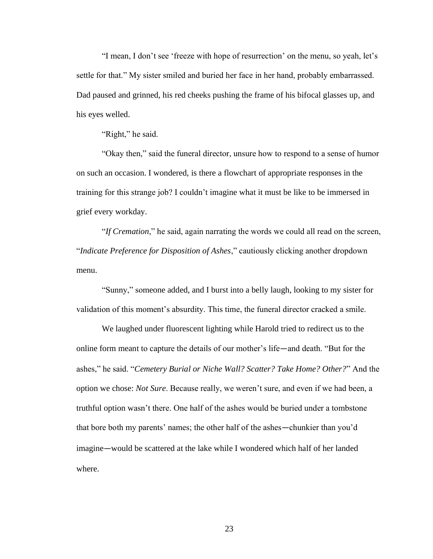"I mean, I don't see 'freeze with hope of resurrection' on the menu, so yeah, let's settle for that." My sister smiled and buried her face in her hand, probably embarrassed. Dad paused and grinned, his red cheeks pushing the frame of his bifocal glasses up, and his eyes welled.

"Right," he said.

"Okay then," said the funeral director, unsure how to respond to a sense of humor on such an occasion. I wondered, is there a flowchart of appropriate responses in the training for this strange job? I couldn't imagine what it must be like to be immersed in grief every workday.

"*If Cremation*," he said, again narrating the words we could all read on the screen, "*Indicate Preference for Disposition of Ashes*," cautiously clicking another dropdown menu.

"Sunny," someone added, and I burst into a belly laugh, looking to my sister for validation of this moment's absurdity. This time, the funeral director cracked a smile.

We laughed under fluorescent lighting while Harold tried to redirect us to the online form meant to capture the details of our mother's life—and death. "But for the ashes," he said. "*Cemetery Burial or Niche Wall? Scatter? Take Home? Other?*" And the option we chose: *Not Sure*. Because really, we weren't sure, and even if we had been, a truthful option wasn't there. One half of the ashes would be buried under a tombstone that bore both my parents' names; the other half of the ashes—chunkier than you'd imagine—would be scattered at the lake while I wondered which half of her landed where.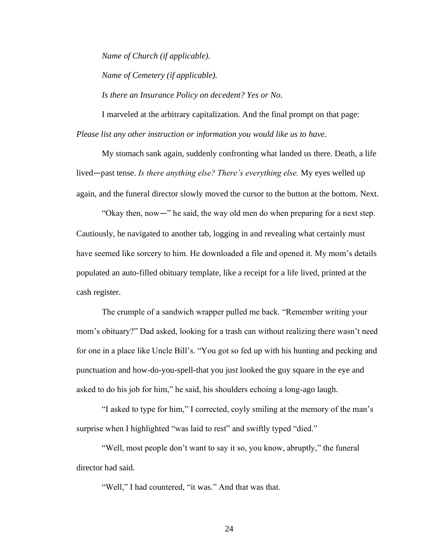*Name of Church (if applicable). Name of Cemetery (if applicable).*

*Is there an Insurance Policy on decedent? Yes or No.*

I marveled at the arbitrary capitalization. And the final prompt on that page: *Please list any other instruction or information you would like us to have.*

My stomach sank again, suddenly confronting what landed us there. Death, a life lived—past tense. *Is there anything else? There's everything else.* My eyes welled up again, and the funeral director slowly moved the cursor to the button at the bottom. Next.

"Okay then, now—" he said, the way old men do when preparing for a next step. Cautiously, he navigated to another tab, logging in and revealing what certainly must have seemed like sorcery to him. He downloaded a file and opened it. My mom's details populated an auto-filled obituary template, like a receipt for a life lived, printed at the cash register.

The crumple of a sandwich wrapper pulled me back. "Remember writing your mom's obituary?" Dad asked, looking for a trash can without realizing there wasn't need for one in a place like Uncle Bill's. "You got so fed up with his hunting and pecking and punctuation and how-do-you-spell-that you just looked the guy square in the eye and asked to do his job for him," he said, his shoulders echoing a long-ago laugh.

"I asked to type for him," I corrected, coyly smiling at the memory of the man's surprise when I highlighted "was laid to rest" and swiftly typed "died."

"Well, most people don't want to say it so, you know, abruptly," the funeral director had said.

"Well," I had countered, "it was." And that was that.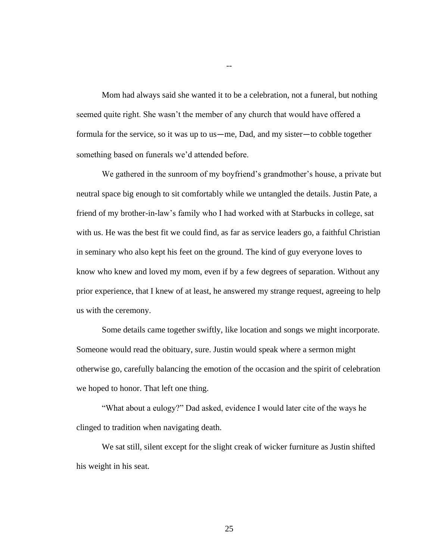Mom had always said she wanted it to be a celebration, not a funeral, but nothing seemed quite right. She wasn't the member of any church that would have offered a formula for the service, so it was up to us—me, Dad, and my sister—to cobble together something based on funerals we'd attended before.

We gathered in the sunroom of my boyfriend's grandmother's house, a private but neutral space big enough to sit comfortably while we untangled the details. Justin Pate, a friend of my brother-in-law's family who I had worked with at Starbucks in college, sat with us. He was the best fit we could find, as far as service leaders go, a faithful Christian in seminary who also kept his feet on the ground. The kind of guy everyone loves to know who knew and loved my mom, even if by a few degrees of separation. Without any prior experience, that I knew of at least, he answered my strange request, agreeing to help us with the ceremony.

Some details came together swiftly, like location and songs we might incorporate. Someone would read the obituary, sure. Justin would speak where a sermon might otherwise go, carefully balancing the emotion of the occasion and the spirit of celebration we hoped to honor. That left one thing.

"What about a eulogy?" Dad asked, evidence I would later cite of the ways he clinged to tradition when navigating death.

We sat still, silent except for the slight creak of wicker furniture as Justin shifted his weight in his seat.

--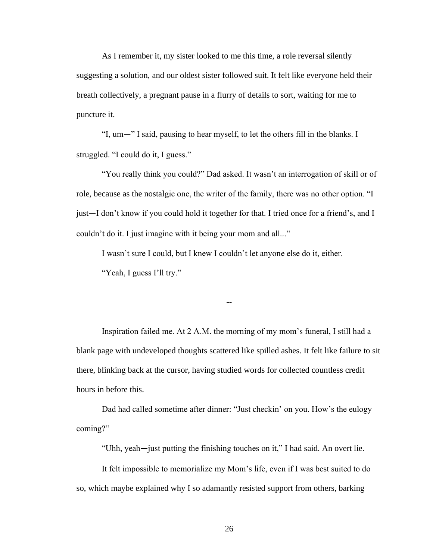As I remember it, my sister looked to me this time, a role reversal silently suggesting a solution, and our oldest sister followed suit. It felt like everyone held their breath collectively, a pregnant pause in a flurry of details to sort, waiting for me to puncture it.

"I, um—" I said, pausing to hear myself, to let the others fill in the blanks. I struggled. "I could do it, I guess."

"You really think you could?" Dad asked. It wasn't an interrogation of skill or of role, because as the nostalgic one, the writer of the family, there was no other option. "I just—I don't know if you could hold it together for that. I tried once for a friend's, and I couldn't do it. I just imagine with it being your mom and all..."

I wasn't sure I could, but I knew I couldn't let anyone else do it, either. "Yeah, I guess I'll try."

Inspiration failed me. At 2 A.M. the morning of my mom's funeral, I still had a blank page with undeveloped thoughts scattered like spilled ashes. It felt like failure to sit there, blinking back at the cursor, having studied words for collected countless credit hours in before this.

--

Dad had called sometime after dinner: "Just checkin' on you. How's the eulogy coming?"

"Uhh, yeah—just putting the finishing touches on it," I had said. An overt lie.

It felt impossible to memorialize my Mom's life, even if I was best suited to do so, which maybe explained why I so adamantly resisted support from others, barking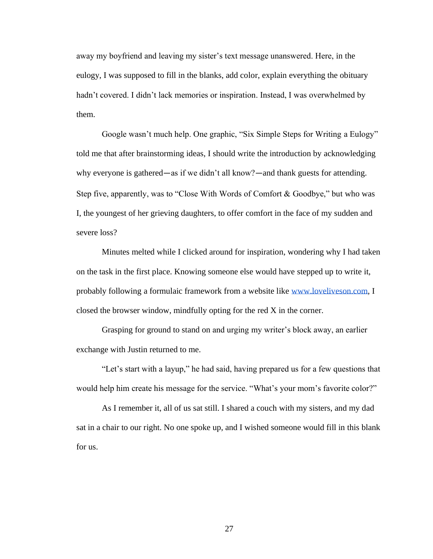away my boyfriend and leaving my sister's text message unanswered. Here, in the eulogy, I was supposed to fill in the blanks, add color, explain everything the obituary hadn't covered. I didn't lack memories or inspiration. Instead, I was overwhelmed by them.

Google wasn't much help. One graphic, "Six Simple Steps for Writing a Eulogy" told me that after brainstorming ideas, I should write the introduction by acknowledging why everyone is gathered—as if we didn't all know?—and thank guests for attending. Step five, apparently, was to "Close With Words of Comfort & Goodbye," but who was I, the youngest of her grieving daughters, to offer comfort in the face of my sudden and severe loss?

Minutes melted while I clicked around for inspiration, wondering why I had taken on the task in the first place. Knowing someone else would have stepped up to write it, probably following a formulaic framework from a website like [www.loveliveson.com,](http://www.loveliveson.com/) I closed the browser window, mindfully opting for the red X in the corner.

Grasping for ground to stand on and urging my writer's block away, an earlier exchange with Justin returned to me.

"Let's start with a layup," he had said, having prepared us for a few questions that would help him create his message for the service. "What's your mom's favorite color?"

As I remember it, all of us sat still. I shared a couch with my sisters, and my dad sat in a chair to our right. No one spoke up, and I wished someone would fill in this blank for us.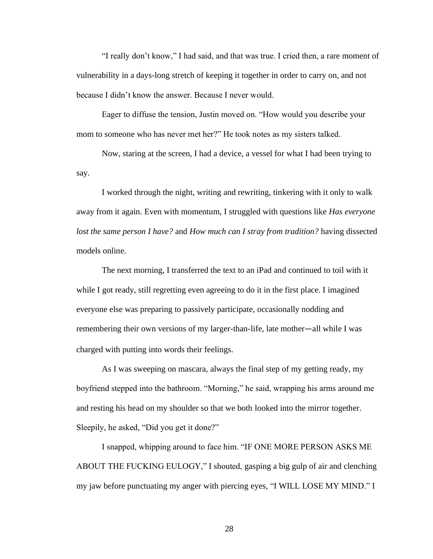"I really don't know," I had said, and that was true. I cried then, a rare moment of vulnerability in a days-long stretch of keeping it together in order to carry on, and not because I didn't know the answer. Because I never would.

Eager to diffuse the tension, Justin moved on. "How would you describe your mom to someone who has never met her?" He took notes as my sisters talked.

Now, staring at the screen, I had a device, a vessel for what I had been trying to say.

I worked through the night, writing and rewriting, tinkering with it only to walk away from it again. Even with momentum, I struggled with questions like *Has everyone lost the same person I have?* and *How much can I stray from tradition?* having dissected models online.

The next morning, I transferred the text to an iPad and continued to toil with it while I got ready, still regretting even agreeing to do it in the first place. I imagined everyone else was preparing to passively participate, occasionally nodding and remembering their own versions of my larger-than-life, late mother—all while I was charged with putting into words their feelings.

As I was sweeping on mascara, always the final step of my getting ready, my boyfriend stepped into the bathroom. "Morning," he said, wrapping his arms around me and resting his head on my shoulder so that we both looked into the mirror together. Sleepily, he asked, "Did you get it done?"

I snapped, whipping around to face him. "IF ONE MORE PERSON ASKS ME ABOUT THE FUCKING EULOGY," I shouted, gasping a big gulp of air and clenching my jaw before punctuating my anger with piercing eyes, "I WILL LOSE MY MIND." I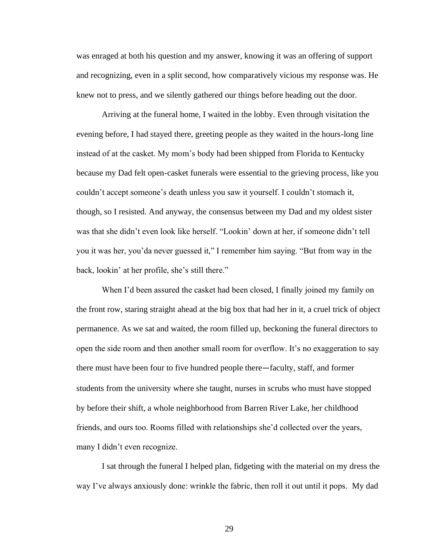was enraged at both his question and my answer, knowing it was an offering of support and recognizing, even in a split second, how comparatively vicious my response was. He knew not to press, and we silently gathered our things before heading out the door.

Arriving at the funeral home, I waited in the lobby. Even through visitation the evening before, I had stayed there, greeting people as they waited in the hours-long line instead of at the casket. My mom's body had been shipped from Florida to Kentucky because my Dad felt open-casket funerals were essential to the grieving process, like you couldn't accept someone's death unless you saw it yourself. I couldn't stomach it, though, so I resisted. And anyway, the consensus between my Dad and my oldest sister was that she didn't even look like herself. "Lookin' down at her, if someone didn't tell you it was her, you'da never guessed it," I remember him saying. "But from way in the back, lookin' at her profile, she's still there."

When I'd been assured the casket had been closed, I finally joined my family on the front row, staring straight ahead at the big box that had her in it, a cruel trick of object permanence. As we sat and waited, the room filled up, beckoning the funeral directors to open the side room and then another small room for overflow. It's no exaggeration to say there must have been four to five hundred people there—faculty, staff, and former students from the university where she taught, nurses in scrubs who must have stopped by before their shift, a whole neighborhood from Barren River Lake, her childhood friends, and ours too. Rooms filled with relationships she'd collected over the years, many I didn't even recognize.

I sat through the funeral I helped plan, fidgeting with the material on my dress the way I've always anxiously done: wrinkle the fabric, then roll it out until it pops. My dad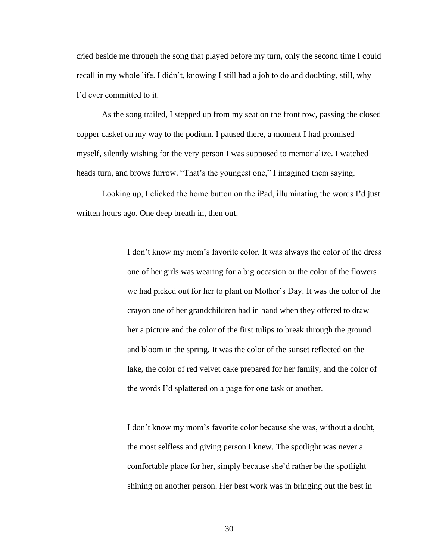cried beside me through the song that played before my turn, only the second time I could recall in my whole life. I didn't, knowing I still had a job to do and doubting, still, why I'd ever committed to it.

As the song trailed, I stepped up from my seat on the front row, passing the closed copper casket on my way to the podium. I paused there, a moment I had promised myself, silently wishing for the very person I was supposed to memorialize. I watched heads turn, and brows furrow. "That's the youngest one," I imagined them saying.

Looking up, I clicked the home button on the iPad, illuminating the words I'd just written hours ago. One deep breath in, then out.

> I don't know my mom's favorite color. It was always the color of the dress one of her girls was wearing for a big occasion or the color of the flowers we had picked out for her to plant on Mother's Day. It was the color of the crayon one of her grandchildren had in hand when they offered to draw her a picture and the color of the first tulips to break through the ground and bloom in the spring. It was the color of the sunset reflected on the lake, the color of red velvet cake prepared for her family, and the color of the words I'd splattered on a page for one task or another.

I don't know my mom's favorite color because she was, without a doubt, the most selfless and giving person I knew. The spotlight was never a comfortable place for her, simply because she'd rather be the spotlight shining on another person. Her best work was in bringing out the best in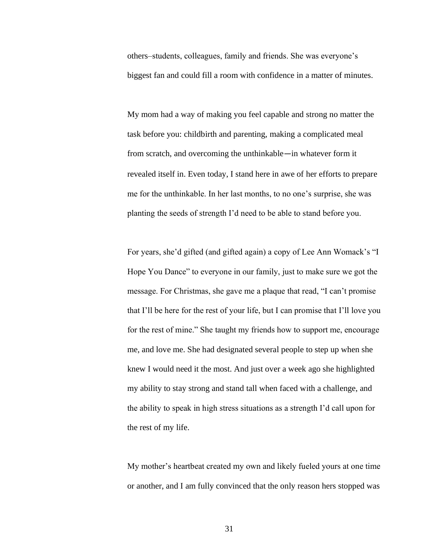others–students, colleagues, family and friends. She was everyone's biggest fan and could fill a room with confidence in a matter of minutes.

My mom had a way of making you feel capable and strong no matter the task before you: childbirth and parenting, making a complicated meal from scratch, and overcoming the unthinkable—in whatever form it revealed itself in. Even today, I stand here in awe of her efforts to prepare me for the unthinkable. In her last months, to no one's surprise, she was planting the seeds of strength I'd need to be able to stand before you.

For years, she'd gifted (and gifted again) a copy of Lee Ann Womack's "I Hope You Dance" to everyone in our family, just to make sure we got the message. For Christmas, she gave me a plaque that read, "I can't promise that I'll be here for the rest of your life, but I can promise that I'll love you for the rest of mine." She taught my friends how to support me, encourage me, and love me. She had designated several people to step up when she knew I would need it the most. And just over a week ago she highlighted my ability to stay strong and stand tall when faced with a challenge, and the ability to speak in high stress situations as a strength I'd call upon for the rest of my life.

My mother's heartbeat created my own and likely fueled yours at one time or another, and I am fully convinced that the only reason hers stopped was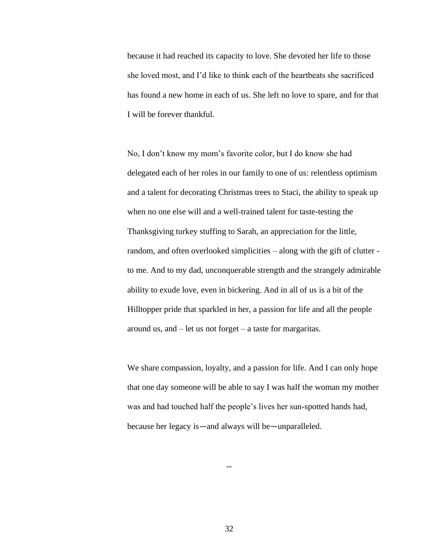because it had reached its capacity to love. She devoted her life to those she loved most, and I'd like to think each of the heartbeats she sacrificed has found a new home in each of us. She left no love to spare, and for that I will be forever thankful.

No, I don't know my mom's favorite color, but I do know she had delegated each of her roles in our family to one of us: relentless optimism and a talent for decorating Christmas trees to Staci, the ability to speak up when no one else will and a well-trained talent for taste-testing the Thanksgiving turkey stuffing to Sarah, an appreciation for the little, random, and often overlooked simplicities – along with the gift of clutter to me. And to my dad, unconquerable strength and the strangely admirable ability to exude love, even in bickering. And in all of us is a bit of the Hilltopper pride that sparkled in her, a passion for life and all the people around us, and – let us not forget – a taste for margaritas.

We share compassion, loyalty, and a passion for life. And I can only hope that one day someone will be able to say I was half the woman my mother was and had touched half the people's lives her sun-spotted hands had, because her legacy is—and always will be—unparalleled.

32

--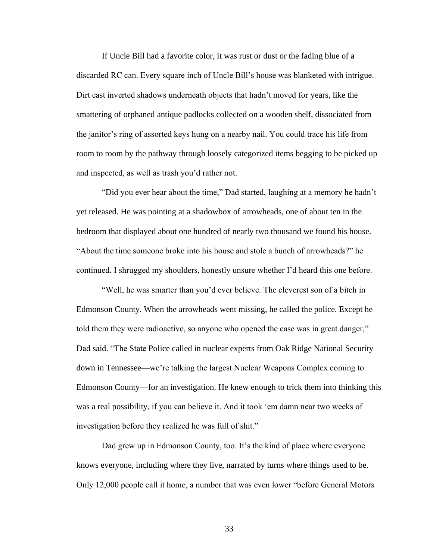If Uncle Bill had a favorite color, it was rust or dust or the fading blue of a discarded RC can. Every square inch of Uncle Bill's house was blanketed with intrigue. Dirt cast inverted shadows underneath objects that hadn't moved for years, like the smattering of orphaned antique padlocks collected on a wooden shelf, dissociated from the janitor's ring of assorted keys hung on a nearby nail. You could trace his life from room to room by the pathway through loosely categorized items begging to be picked up and inspected, as well as trash you'd rather not.

"Did you ever hear about the time," Dad started, laughing at a memory he hadn't yet released. He was pointing at a shadowbox of arrowheads, one of about ten in the bedroom that displayed about one hundred of nearly two thousand we found his house. "About the time someone broke into his house and stole a bunch of arrowheads?" he continued. I shrugged my shoulders, honestly unsure whether I'd heard this one before.

"Well, he was smarter than you'd ever believe. The cleverest son of a bitch in Edmonson County. When the arrowheads went missing, he called the police. Except he told them they were radioactive, so anyone who opened the case was in great danger," Dad said. "The State Police called in nuclear experts from Oak Ridge National Security down in Tennessee—we're talking the largest Nuclear Weapons Complex coming to Edmonson County—for an investigation. He knew enough to trick them into thinking this was a real possibility, if you can believe it. And it took 'em damn near two weeks of investigation before they realized he was full of shit."

Dad grew up in Edmonson County, too. It's the kind of place where everyone knows everyone, including where they live, narrated by turns where things used to be. Only 12,000 people call it home, a number that was even lower "before General Motors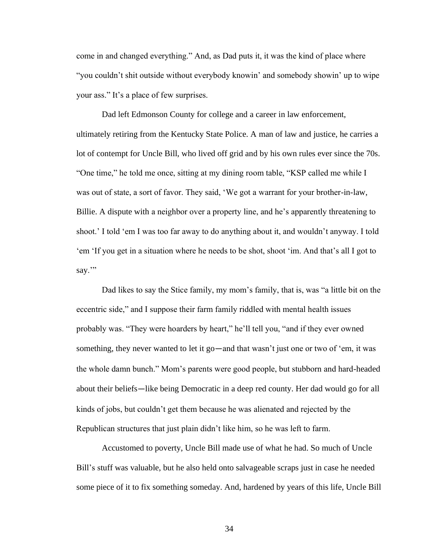come in and changed everything." And, as Dad puts it, it was the kind of place where "you couldn't shit outside without everybody knowin' and somebody showin' up to wipe your ass." It's a place of few surprises.

Dad left Edmonson County for college and a career in law enforcement, ultimately retiring from the Kentucky State Police. A man of law and justice, he carries a lot of contempt for Uncle Bill, who lived off grid and by his own rules ever since the 70s. "One time," he told me once, sitting at my dining room table, "KSP called me while I was out of state, a sort of favor. They said, 'We got a warrant for your brother-in-law, Billie. A dispute with a neighbor over a property line, and he's apparently threatening to shoot.' I told 'em I was too far away to do anything about it, and wouldn't anyway. I told 'em 'If you get in a situation where he needs to be shot, shoot 'im. And that's all I got to say."

Dad likes to say the Stice family, my mom's family, that is, was "a little bit on the eccentric side," and I suppose their farm family riddled with mental health issues probably was. "They were hoarders by heart," he'll tell you, "and if they ever owned something, they never wanted to let it go—and that wasn't just one or two of 'em, it was the whole damn bunch." Mom's parents were good people, but stubborn and hard-headed about their beliefs—like being Democratic in a deep red county. Her dad would go for all kinds of jobs, but couldn't get them because he was alienated and rejected by the Republican structures that just plain didn't like him, so he was left to farm.

Accustomed to poverty, Uncle Bill made use of what he had. So much of Uncle Bill's stuff was valuable, but he also held onto salvageable scraps just in case he needed some piece of it to fix something someday. And, hardened by years of this life, Uncle Bill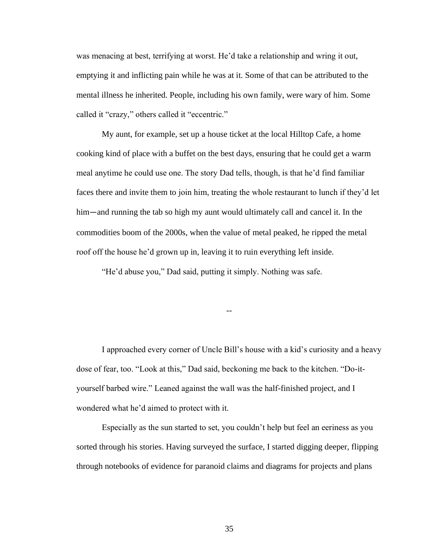was menacing at best, terrifying at worst. He'd take a relationship and wring it out, emptying it and inflicting pain while he was at it. Some of that can be attributed to the mental illness he inherited. People, including his own family, were wary of him. Some called it "crazy," others called it "eccentric."

My aunt, for example, set up a house ticket at the local Hilltop Cafe, a home cooking kind of place with a buffet on the best days, ensuring that he could get a warm meal anytime he could use one. The story Dad tells, though, is that he'd find familiar faces there and invite them to join him, treating the whole restaurant to lunch if they'd let him—and running the tab so high my aunt would ultimately call and cancel it. In the commodities boom of the 2000s, when the value of metal peaked, he ripped the metal roof off the house he'd grown up in, leaving it to ruin everything left inside.

"He'd abuse you," Dad said, putting it simply. Nothing was safe.

I approached every corner of Uncle Bill's house with a kid's curiosity and a heavy dose of fear, too. "Look at this," Dad said, beckoning me back to the kitchen. "Do-ityourself barbed wire." Leaned against the wall was the half-finished project, and I wondered what he'd aimed to protect with it.

--

Especially as the sun started to set, you couldn't help but feel an eeriness as you sorted through his stories. Having surveyed the surface, I started digging deeper, flipping through notebooks of evidence for paranoid claims and diagrams for projects and plans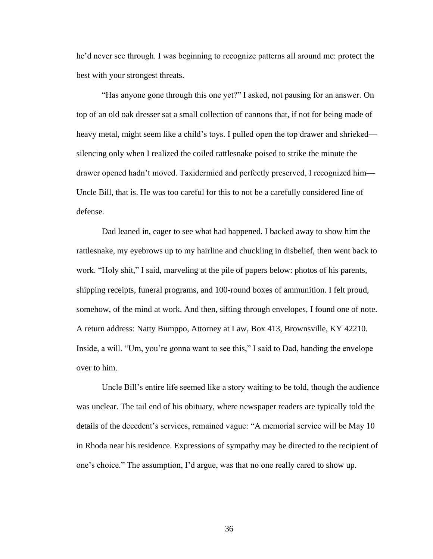he'd never see through. I was beginning to recognize patterns all around me: protect the best with your strongest threats.

"Has anyone gone through this one yet?" I asked, not pausing for an answer. On top of an old oak dresser sat a small collection of cannons that, if not for being made of heavy metal, might seem like a child's toys. I pulled open the top drawer and shrieked silencing only when I realized the coiled rattlesnake poised to strike the minute the drawer opened hadn't moved. Taxidermied and perfectly preserved, I recognized him— Uncle Bill, that is. He was too careful for this to not be a carefully considered line of defense.

Dad leaned in, eager to see what had happened. I backed away to show him the rattlesnake, my eyebrows up to my hairline and chuckling in disbelief, then went back to work. "Holy shit," I said, marveling at the pile of papers below: photos of his parents, shipping receipts, funeral programs, and 100-round boxes of ammunition. I felt proud, somehow, of the mind at work. And then, sifting through envelopes, I found one of note. A return address: Natty Bumppo, Attorney at Law, Box 413, Brownsville, KY 42210. Inside, a will. "Um, you're gonna want to see this," I said to Dad, handing the envelope over to him.

Uncle Bill's entire life seemed like a story waiting to be told, though the audience was unclear. The tail end of his obituary, where newspaper readers are typically told the details of the decedent's services, remained vague: "A memorial service will be May 10 in Rhoda near his residence. Expressions of sympathy may be directed to the recipient of one's choice." The assumption, I'd argue, was that no one really cared to show up.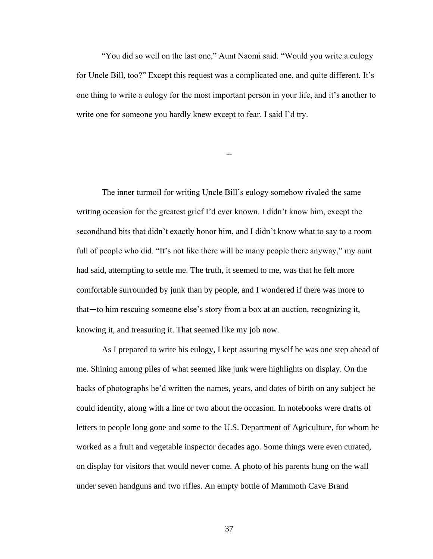"You did so well on the last one," Aunt Naomi said. "Would you write a eulogy for Uncle Bill, too?" Except this request was a complicated one, and quite different. It's one thing to write a eulogy for the most important person in your life, and it's another to write one for someone you hardly knew except to fear. I said I'd try.

--

The inner turmoil for writing Uncle Bill's eulogy somehow rivaled the same writing occasion for the greatest grief I'd ever known. I didn't know him, except the secondhand bits that didn't exactly honor him, and I didn't know what to say to a room full of people who did. "It's not like there will be many people there anyway," my aunt had said, attempting to settle me. The truth, it seemed to me, was that he felt more comfortable surrounded by junk than by people, and I wondered if there was more to that—to him rescuing someone else's story from a box at an auction, recognizing it, knowing it, and treasuring it. That seemed like my job now.

As I prepared to write his eulogy, I kept assuring myself he was one step ahead of me. Shining among piles of what seemed like junk were highlights on display. On the backs of photographs he'd written the names, years, and dates of birth on any subject he could identify, along with a line or two about the occasion. In notebooks were drafts of letters to people long gone and some to the U.S. Department of Agriculture, for whom he worked as a fruit and vegetable inspector decades ago. Some things were even curated, on display for visitors that would never come. A photo of his parents hung on the wall under seven handguns and two rifles. An empty bottle of Mammoth Cave Brand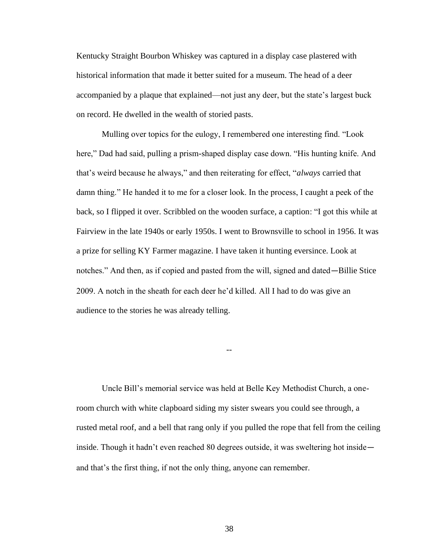Kentucky Straight Bourbon Whiskey was captured in a display case plastered with historical information that made it better suited for a museum. The head of a deer accompanied by a plaque that explained—not just any deer, but the state's largest buck on record. He dwelled in the wealth of storied pasts.

Mulling over topics for the eulogy, I remembered one interesting find. "Look here," Dad had said, pulling a prism-shaped display case down. "His hunting knife. And that's weird because he always," and then reiterating for effect, "*always* carried that damn thing." He handed it to me for a closer look. In the process, I caught a peek of the back, so I flipped it over. Scribbled on the wooden surface, a caption: "I got this while at Fairview in the late 1940s or early 1950s. I went to Brownsville to school in 1956. It was a prize for selling KY Farmer magazine. I have taken it hunting eversince. Look at notches." And then, as if copied and pasted from the will, signed and dated—Billie Stice 2009. A notch in the sheath for each deer he'd killed. All I had to do was give an audience to the stories he was already telling.

--

Uncle Bill's memorial service was held at Belle Key Methodist Church, a oneroom church with white clapboard siding my sister swears you could see through, a rusted metal roof, and a bell that rang only if you pulled the rope that fell from the ceiling inside. Though it hadn't even reached 80 degrees outside, it was sweltering hot inside and that's the first thing, if not the only thing, anyone can remember.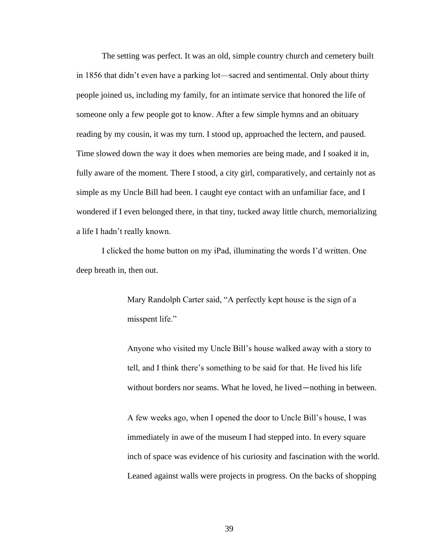The setting was perfect. It was an old, simple country church and cemetery built in 1856 that didn't even have a parking lot—sacred and sentimental. Only about thirty people joined us, including my family, for an intimate service that honored the life of someone only a few people got to know. After a few simple hymns and an obituary reading by my cousin, it was my turn. I stood up, approached the lectern, and paused. Time slowed down the way it does when memories are being made, and I soaked it in, fully aware of the moment. There I stood, a city girl, comparatively, and certainly not as simple as my Uncle Bill had been. I caught eye contact with an unfamiliar face, and I wondered if I even belonged there, in that tiny, tucked away little church, memorializing a life I hadn't really known.

I clicked the home button on my iPad, illuminating the words I'd written. One deep breath in, then out.

> Mary Randolph Carter said, "A perfectly kept house is the sign of a misspent life."

Anyone who visited my Uncle Bill's house walked away with a story to tell, and I think there's something to be said for that. He lived his life without borders nor seams. What he loved, he lived—nothing in between.

A few weeks ago, when I opened the door to Uncle Bill's house, I was immediately in awe of the museum I had stepped into. In every square inch of space was evidence of his curiosity and fascination with the world. Leaned against walls were projects in progress. On the backs of shopping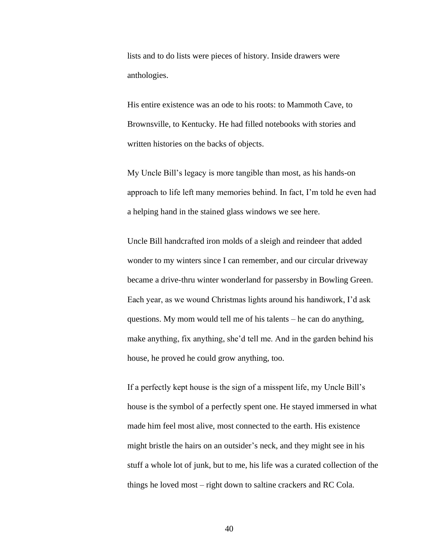lists and to do lists were pieces of history. Inside drawers were anthologies.

His entire existence was an ode to his roots: to Mammoth Cave, to Brownsville, to Kentucky. He had filled notebooks with stories and written histories on the backs of objects.

My Uncle Bill's legacy is more tangible than most, as his hands-on approach to life left many memories behind. In fact, I'm told he even had a helping hand in the stained glass windows we see here.

Uncle Bill handcrafted iron molds of a sleigh and reindeer that added wonder to my winters since I can remember, and our circular driveway became a drive-thru winter wonderland for passersby in Bowling Green. Each year, as we wound Christmas lights around his handiwork, I'd ask questions. My mom would tell me of his talents – he can do anything, make anything, fix anything, she'd tell me. And in the garden behind his house, he proved he could grow anything, too.

If a perfectly kept house is the sign of a misspent life, my Uncle Bill's house is the symbol of a perfectly spent one. He stayed immersed in what made him feel most alive, most connected to the earth. His existence might bristle the hairs on an outsider's neck, and they might see in his stuff a whole lot of junk, but to me, his life was a curated collection of the things he loved most – right down to saltine crackers and RC Cola.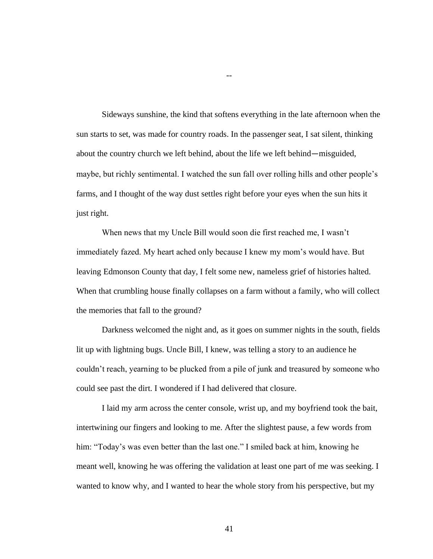Sideways sunshine, the kind that softens everything in the late afternoon when the sun starts to set, was made for country roads. In the passenger seat, I sat silent, thinking about the country church we left behind, about the life we left behind—misguided, maybe, but richly sentimental. I watched the sun fall over rolling hills and other people's farms, and I thought of the way dust settles right before your eyes when the sun hits it just right.

--

When news that my Uncle Bill would soon die first reached me, I wasn't immediately fazed. My heart ached only because I knew my mom's would have. But leaving Edmonson County that day, I felt some new, nameless grief of histories halted. When that crumbling house finally collapses on a farm without a family, who will collect the memories that fall to the ground?

Darkness welcomed the night and, as it goes on summer nights in the south, fields lit up with lightning bugs. Uncle Bill, I knew, was telling a story to an audience he couldn't reach, yearning to be plucked from a pile of junk and treasured by someone who could see past the dirt. I wondered if I had delivered that closure.

I laid my arm across the center console, wrist up, and my boyfriend took the bait, intertwining our fingers and looking to me. After the slightest pause, a few words from him: "Today's was even better than the last one." I smiled back at him, knowing he meant well, knowing he was offering the validation at least one part of me was seeking. I wanted to know why, and I wanted to hear the whole story from his perspective, but my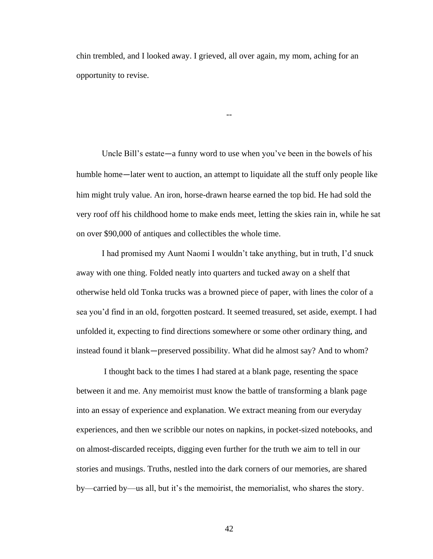chin trembled, and I looked away. I grieved, all over again, my mom, aching for an opportunity to revise.

Uncle Bill's estate—a funny word to use when you've been in the bowels of his humble home—later went to auction, an attempt to liquidate all the stuff only people like him might truly value. An iron, horse-drawn hearse earned the top bid. He had sold the very roof off his childhood home to make ends meet, letting the skies rain in, while he sat on over \$90,000 of antiques and collectibles the whole time.

--

I had promised my Aunt Naomi I wouldn't take anything, but in truth, I'd snuck away with one thing. Folded neatly into quarters and tucked away on a shelf that otherwise held old Tonka trucks was a browned piece of paper, with lines the color of a sea you'd find in an old, forgotten postcard. It seemed treasured, set aside, exempt. I had unfolded it, expecting to find directions somewhere or some other ordinary thing, and instead found it blank—preserved possibility. What did he almost say? And to whom?

I thought back to the times I had stared at a blank page, resenting the space between it and me. Any memoirist must know the battle of transforming a blank page into an essay of experience and explanation. We extract meaning from our everyday experiences, and then we scribble our notes on napkins, in pocket-sized notebooks, and on almost-discarded receipts, digging even further for the truth we aim to tell in our stories and musings. Truths, nestled into the dark corners of our memories, are shared by—carried by—us all, but it's the memoirist, the memorialist, who shares the story.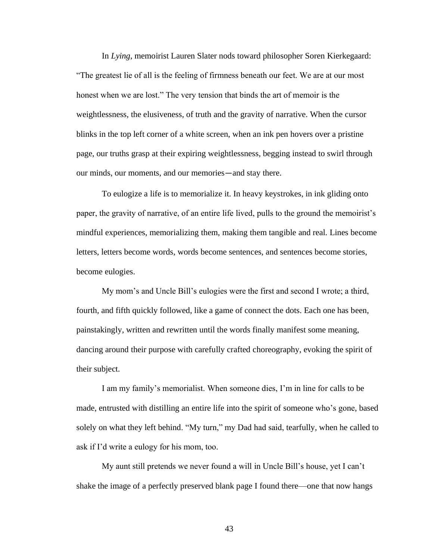In *Lying*, memoirist Lauren Slater nods toward philosopher Soren Kierkegaard: "The greatest lie of all is the feeling of firmness beneath our feet. We are at our most honest when we are lost." The very tension that binds the art of memoir is the weightlessness, the elusiveness, of truth and the gravity of narrative. When the cursor blinks in the top left corner of a white screen, when an ink pen hovers over a pristine page, our truths grasp at their expiring weightlessness, begging instead to swirl through our minds, our moments, and our memories—and stay there.

To eulogize a life is to memorialize it. In heavy keystrokes, in ink gliding onto paper, the gravity of narrative, of an entire life lived, pulls to the ground the memoirist's mindful experiences, memorializing them, making them tangible and real. Lines become letters, letters become words, words become sentences, and sentences become stories, become eulogies.

My mom's and Uncle Bill's eulogies were the first and second I wrote; a third, fourth, and fifth quickly followed, like a game of connect the dots. Each one has been, painstakingly, written and rewritten until the words finally manifest some meaning, dancing around their purpose with carefully crafted choreography, evoking the spirit of their subject.

I am my family's memorialist. When someone dies, I'm in line for calls to be made, entrusted with distilling an entire life into the spirit of someone who's gone, based solely on what they left behind. "My turn," my Dad had said, tearfully, when he called to ask if I'd write a eulogy for his mom, too.

My aunt still pretends we never found a will in Uncle Bill's house, yet I can't shake the image of a perfectly preserved blank page I found there—one that now hangs